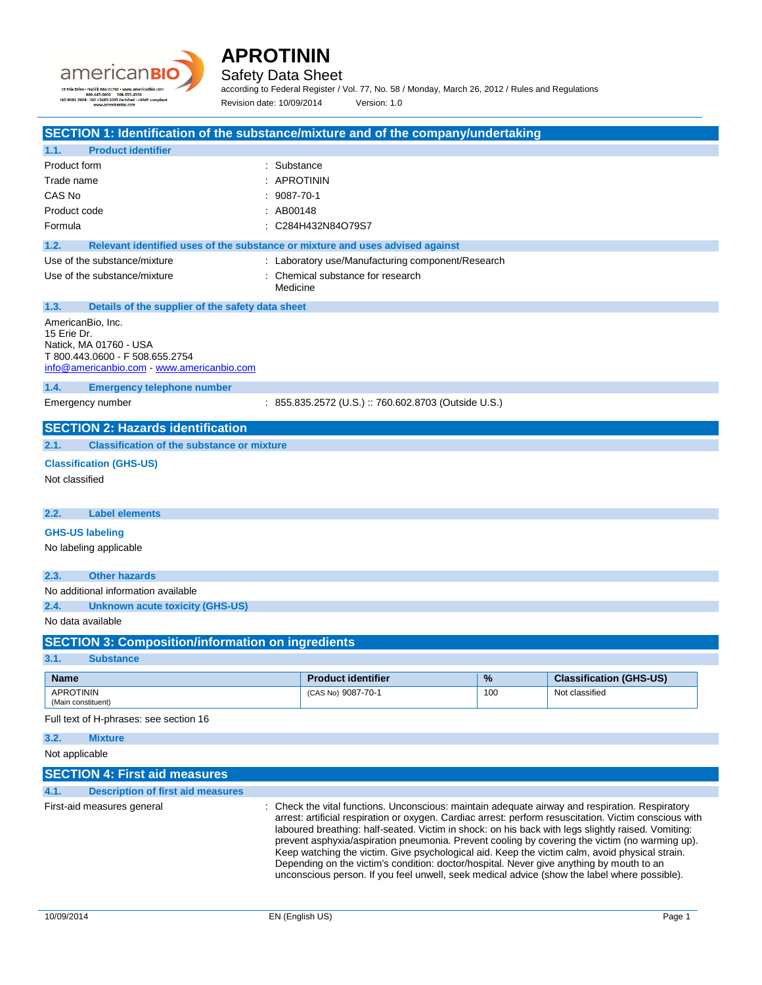



### Safety Data Sheet

according to Federal Register / Vol. 77, No. 58 / Monday, March 26, 2012 / Rules and Regulations Revision date: 10/09/2014 Version: 1.0

| SECTION 1: Identification of the substance/mixture and of the company/undertaking |                                                                                                                                                                                                  |     |                                |
|-----------------------------------------------------------------------------------|--------------------------------------------------------------------------------------------------------------------------------------------------------------------------------------------------|-----|--------------------------------|
| <b>Product identifier</b><br>1.1.                                                 |                                                                                                                                                                                                  |     |                                |
| Product form                                                                      | : Substance                                                                                                                                                                                      |     |                                |
| Trade name                                                                        | <b>APROTININ</b>                                                                                                                                                                                 |     |                                |
| CAS No                                                                            | 9087-70-1                                                                                                                                                                                        |     |                                |
| Product code                                                                      | : AB00148                                                                                                                                                                                        |     |                                |
| Formula                                                                           | C284H432N84O79S7                                                                                                                                                                                 |     |                                |
|                                                                                   |                                                                                                                                                                                                  |     |                                |
| 1.2.                                                                              | Relevant identified uses of the substance or mixture and uses advised against                                                                                                                    |     |                                |
| Use of the substance/mixture                                                      | : Laboratory use/Manufacturing component/Research                                                                                                                                                |     |                                |
| Use of the substance/mixture                                                      | : Chemical substance for research<br>Medicine                                                                                                                                                    |     |                                |
|                                                                                   |                                                                                                                                                                                                  |     |                                |
| 1.3.<br>Details of the supplier of the safety data sheet                          |                                                                                                                                                                                                  |     |                                |
| AmericanBio, Inc.<br>15 Erie Dr.                                                  |                                                                                                                                                                                                  |     |                                |
| Natick, MA 01760 - USA                                                            |                                                                                                                                                                                                  |     |                                |
| T 800.443.0600 - F 508.655.2754                                                   |                                                                                                                                                                                                  |     |                                |
| info@americanbio.com www.americanbio.com                                          |                                                                                                                                                                                                  |     |                                |
| 1.4.<br><b>Emergency telephone number</b>                                         |                                                                                                                                                                                                  |     |                                |
| Emergency number                                                                  | : 855.835.2572 (U.S.) :: 760.602.8703 (Outside U.S.)                                                                                                                                             |     |                                |
| <b>SECTION 2: Hazards identification</b>                                          |                                                                                                                                                                                                  |     |                                |
|                                                                                   |                                                                                                                                                                                                  |     |                                |
| <b>Classification of the substance or mixture</b><br>2.1.                         |                                                                                                                                                                                                  |     |                                |
| <b>Classification (GHS-US)</b>                                                    |                                                                                                                                                                                                  |     |                                |
| Not classified                                                                    |                                                                                                                                                                                                  |     |                                |
|                                                                                   |                                                                                                                                                                                                  |     |                                |
| 2.2.<br><b>Label elements</b>                                                     |                                                                                                                                                                                                  |     |                                |
| <b>GHS-US labeling</b>                                                            |                                                                                                                                                                                                  |     |                                |
| No labeling applicable                                                            |                                                                                                                                                                                                  |     |                                |
|                                                                                   |                                                                                                                                                                                                  |     |                                |
| <b>Other hazards</b><br>2.3.                                                      |                                                                                                                                                                                                  |     |                                |
| No additional information available                                               |                                                                                                                                                                                                  |     |                                |
| 2.4.<br><b>Unknown acute toxicity (GHS-US)</b>                                    |                                                                                                                                                                                                  |     |                                |
| No data available                                                                 |                                                                                                                                                                                                  |     |                                |
|                                                                                   |                                                                                                                                                                                                  |     |                                |
| <b>SECTION 3: Composition/information on ingredients</b>                          |                                                                                                                                                                                                  |     |                                |
| 3.1.<br><b>Substance</b>                                                          |                                                                                                                                                                                                  |     |                                |
| <b>Name</b>                                                                       | <b>Product identifier</b>                                                                                                                                                                        | %   | <b>Classification (GHS-US)</b> |
| <b>APROTININ</b><br>(Main constituent)                                            | (CAS No) 9087-70-1                                                                                                                                                                               | 100 | Not classified                 |
|                                                                                   |                                                                                                                                                                                                  |     |                                |
| Full text of H-phrases: see section 16                                            |                                                                                                                                                                                                  |     |                                |
| 3.2.<br><b>Mixture</b>                                                            |                                                                                                                                                                                                  |     |                                |
| Not applicable                                                                    |                                                                                                                                                                                                  |     |                                |
| <b>SECTION 4: First aid measures</b>                                              |                                                                                                                                                                                                  |     |                                |
| 4.1.<br><b>Description of first aid measures</b>                                  |                                                                                                                                                                                                  |     |                                |
| First-aid measures general                                                        | : Check the vital functions. Unconscious: maintain adequate airway and respiration. Respiratory                                                                                                  |     |                                |
|                                                                                   | arrest: artificial respiration or oxygen. Cardiac arrest: perform resuscitation. Victim conscious with                                                                                           |     |                                |
|                                                                                   | laboured breathing: half-seated. Victim in shock: on his back with legs slightly raised. Vomiting:                                                                                               |     |                                |
|                                                                                   | prevent asphyxia/aspiration pneumonia. Prevent cooling by covering the victim (no warming up).<br>Keep watching the victim. Give psychological aid. Keep the victim calm, avoid physical strain. |     |                                |
|                                                                                   | Depending on the victim's condition: doctor/hospital. Never give anything by mouth to an                                                                                                         |     |                                |
|                                                                                   | unconscious person. If you feel unwell, seek medical advice (show the label where possible).                                                                                                     |     |                                |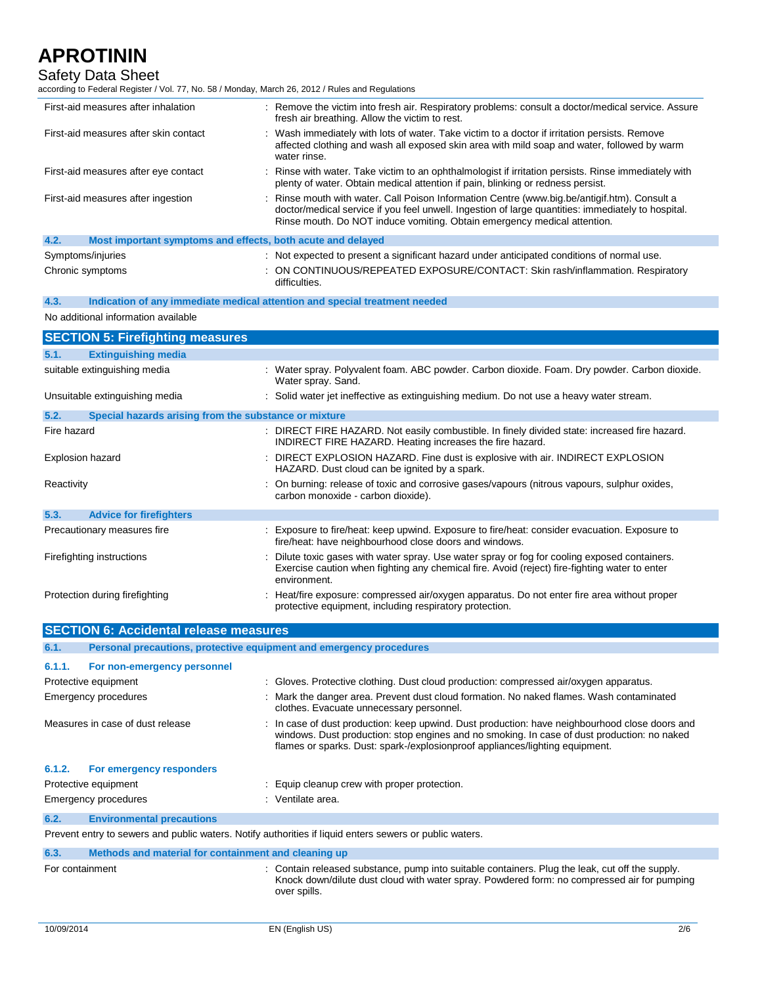### Safety Data Sheet

No additional information available

according to Federal Register / Vol. 77, No. 58 / Monday, March 26, 2012 / Rules and Regulations

| First-aid measures after inhalation                                 | : Remove the victim into fresh air. Respiratory problems: consult a doctor/medical service. Assure<br>fresh air breathing. Allow the victim to rest.                                                                                                                           |
|---------------------------------------------------------------------|--------------------------------------------------------------------------------------------------------------------------------------------------------------------------------------------------------------------------------------------------------------------------------|
| First-aid measures after skin contact                               | : Wash immediately with lots of water. Take victim to a doctor if irritation persists. Remove<br>affected clothing and wash all exposed skin area with mild soap and water, followed by warm<br>water rinse.                                                                   |
| First-aid measures after eye contact                                | : Rinse with water. Take victim to an ophthalmologist if irritation persists. Rinse immediately with<br>plenty of water. Obtain medical attention if pain, blinking or redness persist.                                                                                        |
| First-aid measures after ingestion                                  | : Rinse mouth with water. Call Poison Information Centre (www.big.be/antigif.htm). Consult a<br>doctor/medical service if you feel unwell. Ingestion of large quantities: immediately to hospital.<br>Rinse mouth. Do NOT induce vomiting. Obtain emergency medical attention. |
| 4.2.<br>Most important symptoms and effects, both acute and delayed |                                                                                                                                                                                                                                                                                |
| Symptoms/injuries                                                   | : Not expected to present a significant hazard under anticipated conditions of normal use.                                                                                                                                                                                     |
| Chronic symptoms                                                    | : ON CONTINUOUS/REPEATED EXPOSURE/CONTACT: Skin rash/inflammation. Respiratory<br>difficulties.                                                                                                                                                                                |
| 4.3.                                                                | Indication of any immediate medical attention and special treatment needed                                                                                                                                                                                                     |
|                                                                     |                                                                                                                                                                                                                                                                                |

**SECTION 5: Firefighting measures 5.1. Extinguishing media** suitable extinguishing media : Water spray. Polyvalent foam. ABC powder. Carbon dioxide. Foam. Dry powder. Carbon dioxide. Water spray. Sand. Unsuitable extinguishing media  $\qquad \qquad$ : Solid water jet ineffective as extinguishing medium. Do not use a heavy water stream. **5.2. Special hazards arising from the substance or mixture** Fire hazard **in the state of the START FIRE HAZARD**. Not easily combustible. In finely divided state: increased fire hazard. INDIRECT FIRE HAZARD. Heating increases the fire hazard. Explosion hazard **Explosion hazard** : DIRECT EXPLOSION HAZARD. Fine dust is explosive with air. INDIRECT EXPLOSION HAZARD. Dust cloud can be ignited by a spark. Reactivity **State of the Connuming: The Connuming: release of toxic and corrosive gases/vapours (nitrous vapours, sulphur oxides,** carbon monoxide - carbon dioxide). **5.3. Advice for firefighters** Precautionary measures fire **interpretent in the supposure to fire/heat**: keep upwind. Exposure to fire/heat: consider evacuation. Exposure to fire/heat: have neighbourhood close doors and windows. Firefighting instructions : Dilute toxic gases with water spray. Use water spray or fog for cooling exposed containers. Exercise caution when fighting any chemical fire. Avoid (reject) fire-fighting water to enter environment. Protection during firefighting : Heat/fire exposure: compressed air/oxygen apparatus. Do not enter fire area without proper protective equipment, including respiratory protection.

|                 | <b>SECTION 6: Accidental release measures</b>                       |                                                                                                                                                                                                                                                                               |  |  |  |
|-----------------|---------------------------------------------------------------------|-------------------------------------------------------------------------------------------------------------------------------------------------------------------------------------------------------------------------------------------------------------------------------|--|--|--|
| 6.1.            | Personal precautions, protective equipment and emergency procedures |                                                                                                                                                                                                                                                                               |  |  |  |
| 6.1.1.          | For non-emergency personnel                                         |                                                                                                                                                                                                                                                                               |  |  |  |
|                 | Protective equipment                                                | : Gloves. Protective clothing. Dust cloud production: compressed air/oxygen apparatus.                                                                                                                                                                                        |  |  |  |
|                 | Emergency procedures                                                | : Mark the danger area. Prevent dust cloud formation. No naked flames. Wash contaminated<br>clothes. Evacuate unnecessary personnel.                                                                                                                                          |  |  |  |
|                 | Measures in case of dust release                                    | : In case of dust production: keep upwind. Dust production: have neighbourhood close doors and<br>windows. Dust production: stop engines and no smoking. In case of dust production: no naked<br>flames or sparks. Dust: spark-/explosionproof appliances/lighting equipment. |  |  |  |
| 6.1.2.          | For emergency responders                                            |                                                                                                                                                                                                                                                                               |  |  |  |
|                 | Protective equipment                                                | : Equip cleanup crew with proper protection.                                                                                                                                                                                                                                  |  |  |  |
|                 | Emergency procedures                                                | : Ventilate area.                                                                                                                                                                                                                                                             |  |  |  |
| 6.2.            | <b>Environmental precautions</b>                                    |                                                                                                                                                                                                                                                                               |  |  |  |
|                 |                                                                     | Prevent entry to sewers and public waters. Notify authorities if liquid enters sewers or public waters.                                                                                                                                                                       |  |  |  |
| 6.3.            | Methods and material for containment and cleaning up                |                                                                                                                                                                                                                                                                               |  |  |  |
| For containment |                                                                     | : Contain released substance, pump into suitable containers. Plug the leak, cut off the supply.<br>Knock down/dilute dust cloud with water spray. Powdered form: no compressed air for pumping<br>over spills.                                                                |  |  |  |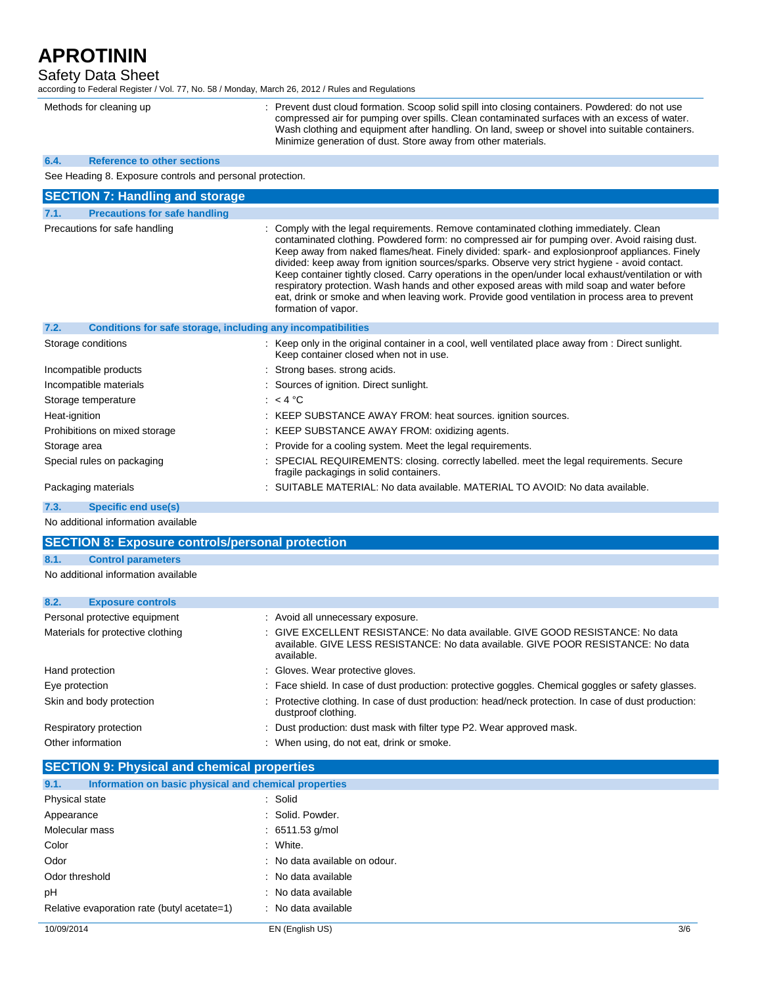Safety Data Sheet

according to Federal Register / Vol. 77, No. 58 / Monday, March 26, 2012 / Rules and Regulations

Methods for cleaning up : Prevent dust cloud formation. Scoop solid spill into closing containers. Powdered: do not use compressed air for pumping over spills. Clean contaminated surfaces with an excess of water. Wash clothing and equipment after handling. On land, sweep or shovel into suitable containers. Minimize generation of dust. Store away from other materials.

#### **6.4. Reference to other sections**

See Heading 8. Exposure controls and personal protection.

| <b>SECTION 7: Handling and storage</b>                               |                                                                                                                                                                                                                                                                                                                                                                                                                                                                                                                                                                                                                                                                                                                         |
|----------------------------------------------------------------------|-------------------------------------------------------------------------------------------------------------------------------------------------------------------------------------------------------------------------------------------------------------------------------------------------------------------------------------------------------------------------------------------------------------------------------------------------------------------------------------------------------------------------------------------------------------------------------------------------------------------------------------------------------------------------------------------------------------------------|
| <b>Precautions for safe handling</b><br>7.1.                         |                                                                                                                                                                                                                                                                                                                                                                                                                                                                                                                                                                                                                                                                                                                         |
| Precautions for safe handling                                        | : Comply with the legal requirements. Remove contaminated clothing immediately. Clean<br>contaminated clothing. Powdered form: no compressed air for pumping over. Avoid raising dust.<br>Keep away from naked flames/heat. Finely divided: spark- and explosionproof appliances. Finely<br>divided: keep away from ignition sources/sparks. Observe very strict hygiene - avoid contact.<br>Keep container tightly closed. Carry operations in the open/under local exhaust/ventilation or with<br>respiratory protection. Wash hands and other exposed areas with mild soap and water before<br>eat, drink or smoke and when leaving work. Provide good ventilation in process area to prevent<br>formation of vapor. |
| 7.2.<br>Conditions for safe storage, including any incompatibilities |                                                                                                                                                                                                                                                                                                                                                                                                                                                                                                                                                                                                                                                                                                                         |
| Storage conditions                                                   | : Keep only in the original container in a cool, well ventilated place away from : Direct sunlight.<br>Keep container closed when not in use.                                                                                                                                                                                                                                                                                                                                                                                                                                                                                                                                                                           |
| Incompatible products                                                | : Strong bases, strong acids.                                                                                                                                                                                                                                                                                                                                                                                                                                                                                                                                                                                                                                                                                           |
| Incompatible materials                                               | : Sources of ignition. Direct sunlight.                                                                                                                                                                                                                                                                                                                                                                                                                                                                                                                                                                                                                                                                                 |
| Storage temperature                                                  | $: 4^{\circ}C$                                                                                                                                                                                                                                                                                                                                                                                                                                                                                                                                                                                                                                                                                                          |
| Heat-ignition                                                        | : KEEP SUBSTANCE AWAY FROM: heat sources. ignition sources.                                                                                                                                                                                                                                                                                                                                                                                                                                                                                                                                                                                                                                                             |
| Prohibitions on mixed storage                                        | : KEEP SUBSTANCE AWAY FROM: oxidizing agents.                                                                                                                                                                                                                                                                                                                                                                                                                                                                                                                                                                                                                                                                           |
| Storage area                                                         | : Provide for a cooling system. Meet the legal requirements.                                                                                                                                                                                                                                                                                                                                                                                                                                                                                                                                                                                                                                                            |
| Special rules on packaging                                           | : SPECIAL REQUIREMENTS: closing. correctly labelled. meet the legal requirements. Secure<br>fragile packagings in solid containers.                                                                                                                                                                                                                                                                                                                                                                                                                                                                                                                                                                                     |
| Packaging materials                                                  | : SUITABLE MATERIAL: No data available. MATERIAL TO AVOID: No data available.                                                                                                                                                                                                                                                                                                                                                                                                                                                                                                                                                                                                                                           |

**7.3. Specific end use(s)**

No additional information available

| <b>SECTION 8: Exposure controls/personal protection</b> |                                     |  |                                                                                                                                                                                  |  |  |
|---------------------------------------------------------|-------------------------------------|--|----------------------------------------------------------------------------------------------------------------------------------------------------------------------------------|--|--|
| 8.1.                                                    | <b>Control parameters</b>           |  |                                                                                                                                                                                  |  |  |
|                                                         | No additional information available |  |                                                                                                                                                                                  |  |  |
| 8.2.                                                    | <b>Exposure controls</b>            |  |                                                                                                                                                                                  |  |  |
|                                                         | Personal protective equipment       |  | : Avoid all unnecessary exposure.                                                                                                                                                |  |  |
|                                                         | Materials for protective clothing   |  | : GIVE EXCELLENT RESISTANCE: No data available. GIVE GOOD RESISTANCE: No data<br>available. GIVE LESS RESISTANCE: No data available. GIVE POOR RESISTANCE: No data<br>available. |  |  |
| Hand protection                                         |                                     |  | : Gloves. Wear protective gloves.                                                                                                                                                |  |  |
| Eye protection                                          |                                     |  | : Face shield. In case of dust production: protective goggles. Chemical goggles or safety glasses.                                                                               |  |  |
|                                                         | Skin and body protection            |  | : Protective clothing. In case of dust production: head/neck protection. In case of dust production:<br>dustproof clothing.                                                      |  |  |
|                                                         | Respiratory protection              |  | : Dust production: dust mask with filter type P2. Wear approved mask.                                                                                                            |  |  |
| Other information                                       |                                     |  | : When using, do not eat, drink or smoke.                                                                                                                                        |  |  |

| <b>SECTION 9: Physical and chemical properties</b>            |                               |  |  |  |  |
|---------------------------------------------------------------|-------------------------------|--|--|--|--|
| 9.1.<br>Information on basic physical and chemical properties |                               |  |  |  |  |
| Physical state                                                | : Solid                       |  |  |  |  |
| Appearance                                                    | : Solid. Powder.              |  |  |  |  |
| Molecular mass                                                | $: 6511.53$ g/mol             |  |  |  |  |
| Color                                                         | : White.                      |  |  |  |  |
| Odor                                                          | : No data available on odour. |  |  |  |  |
| Odor threshold                                                | : No data available           |  |  |  |  |
| рH                                                            | : No data available           |  |  |  |  |
| Relative evaporation rate (butyl acetate=1)                   | : No data available           |  |  |  |  |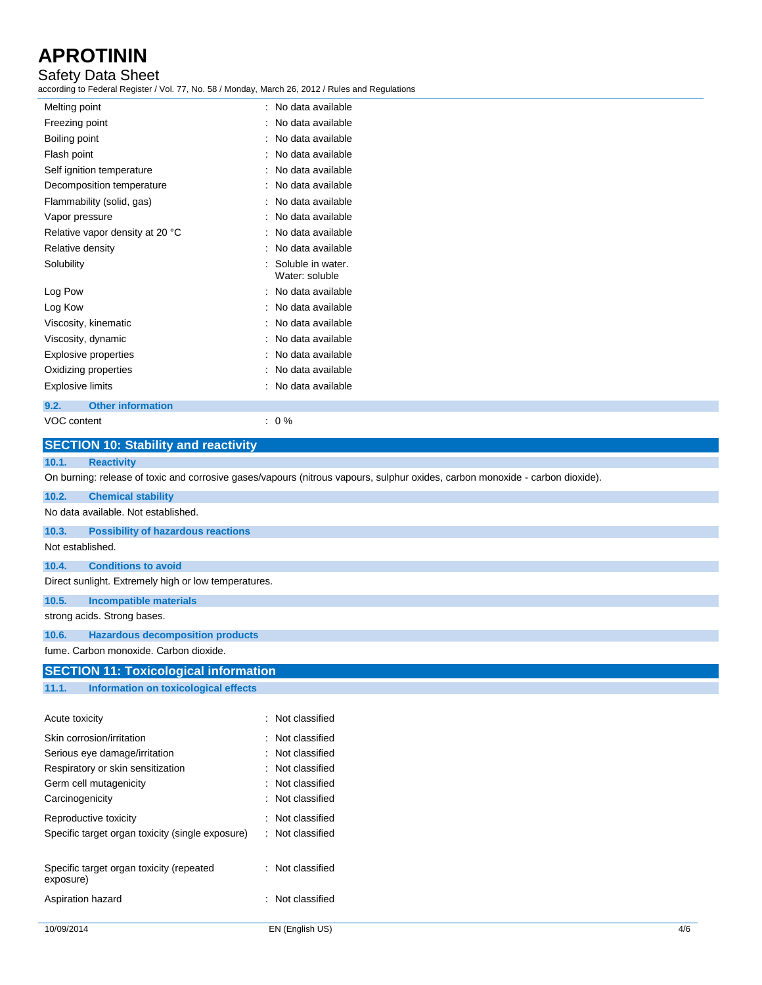## Safety Data Sheet

according to Federal Register / Vol. 77, No. 58 / Monday, March 26, 2012 / Rules and Regulations

| Melting point                   |                           | ٠ | No data available                   |
|---------------------------------|---------------------------|---|-------------------------------------|
| Freezing point                  |                           |   | No data available                   |
| Boiling point                   |                           |   | No data available                   |
| Flash point                     |                           |   | No data available                   |
| Self ignition temperature       |                           |   | No data available                   |
|                                 | Decomposition temperature |   | No data available                   |
| Flammability (solid, gas)       |                           |   | No data available                   |
| Vapor pressure                  |                           |   | No data available                   |
| Relative vapor density at 20 °C |                           |   | No data available                   |
| Relative density                |                           |   | No data available                   |
| Solubility                      |                           |   | Soluble in water.<br>Water: soluble |
| Log Pow                         |                           |   | No data available                   |
| Log Kow                         |                           |   | No data available                   |
| Viscosity, kinematic            |                           |   | No data available                   |
| Viscosity, dynamic              |                           |   | No data available                   |
| Explosive properties            |                           |   | No data available                   |
| Oxidizing properties            |                           |   | No data available                   |
| <b>Explosive limits</b>         |                           |   | No data available                   |
| 9.2.                            | <b>Other information</b>  |   |                                     |
|                                 |                           |   |                                     |

| VOC content |  |
|-------------|--|

 $\therefore$  0 %

| <b>SECTION 10: Stability and reactivity</b>           |                                                                                                                               |
|-------------------------------------------------------|-------------------------------------------------------------------------------------------------------------------------------|
| 10.1.<br><b>Reactivity</b>                            |                                                                                                                               |
|                                                       | On burning: release of toxic and corrosive gases/vapours (nitrous vapours, sulphur oxides, carbon monoxide - carbon dioxide). |
| 10.2.<br><b>Chemical stability</b>                    |                                                                                                                               |
| No data available. Not established.                   |                                                                                                                               |
| 10.3.<br><b>Possibility of hazardous reactions</b>    |                                                                                                                               |
| Not established.                                      |                                                                                                                               |
| <b>Conditions to avoid</b><br>10.4.                   |                                                                                                                               |
| Direct sunlight. Extremely high or low temperatures.  |                                                                                                                               |
| <b>Incompatible materials</b><br>10.5.                |                                                                                                                               |
| strong acids. Strong bases.                           |                                                                                                                               |
| <b>Hazardous decomposition products</b><br>10.6.      |                                                                                                                               |
| fume. Carbon monoxide. Carbon dioxide.                |                                                                                                                               |
| <b>SECTION 11: Toxicological information</b>          |                                                                                                                               |
| <b>Information on toxicological effects</b><br>11.1.  |                                                                                                                               |
|                                                       |                                                                                                                               |
| Acute toxicity                                        | : Not classified                                                                                                              |
| Skin corrosion/irritation                             | : Not classified                                                                                                              |
| Serious eye damage/irritation                         | Not classified                                                                                                                |
| Respiratory or skin sensitization                     | : Not classified                                                                                                              |
| Germ cell mutagenicity                                | : Not classified                                                                                                              |
| Carcinogenicity                                       | Not classified                                                                                                                |
| Reproductive toxicity                                 | : Not classified                                                                                                              |
| Specific target organ toxicity (single exposure)      | : Not classified                                                                                                              |
|                                                       |                                                                                                                               |
| Specific target organ toxicity (repeated<br>exposure) | : Not classified                                                                                                              |
| Aspiration hazard                                     | : Not classified                                                                                                              |
|                                                       |                                                                                                                               |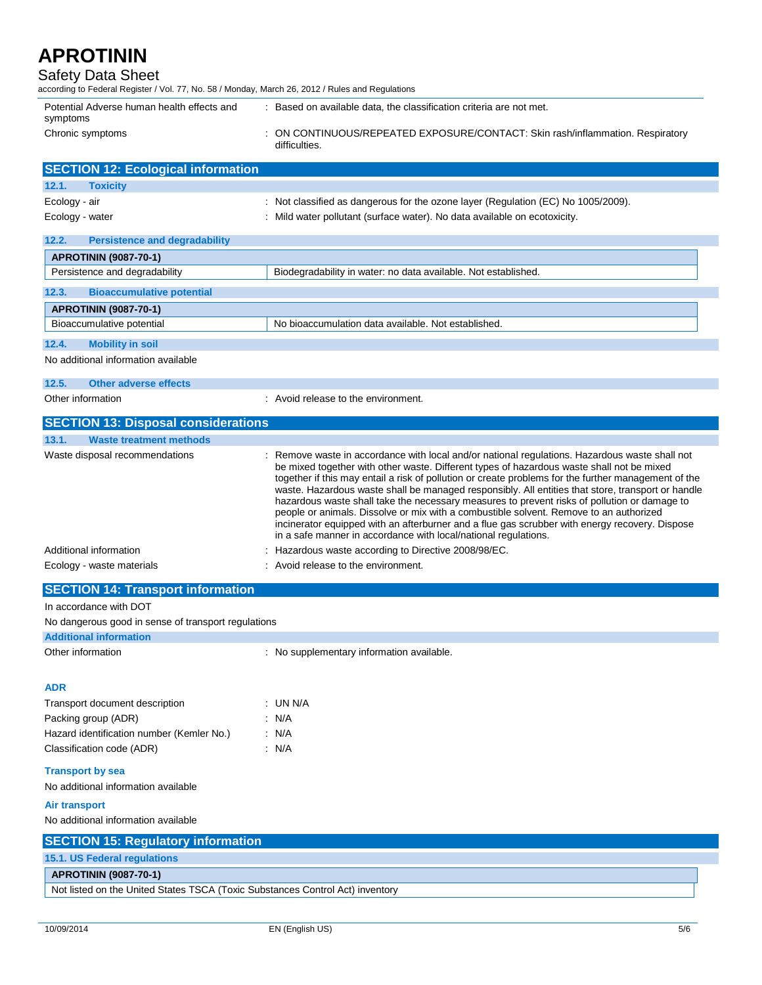### Safety Data Sheet

| Sarety Data Sheet<br>according to Federal Register / Vol. 77, No. 58 / Monday, March 26, 2012 / Rules and Regulations |                                                                                                                                                                                                                                                                                                                                                                                                                                                                                                                                                                                                                                                                                                                                                                         |
|-----------------------------------------------------------------------------------------------------------------------|-------------------------------------------------------------------------------------------------------------------------------------------------------------------------------------------------------------------------------------------------------------------------------------------------------------------------------------------------------------------------------------------------------------------------------------------------------------------------------------------------------------------------------------------------------------------------------------------------------------------------------------------------------------------------------------------------------------------------------------------------------------------------|
| Potential Adverse human health effects and<br>symptoms                                                                | : Based on available data, the classification criteria are not met.                                                                                                                                                                                                                                                                                                                                                                                                                                                                                                                                                                                                                                                                                                     |
| Chronic symptoms                                                                                                      | : ON CONTINUOUS/REPEATED EXPOSURE/CONTACT: Skin rash/inflammation. Respiratory<br>difficulties.                                                                                                                                                                                                                                                                                                                                                                                                                                                                                                                                                                                                                                                                         |
| <b>SECTION 12: Ecological information</b>                                                                             |                                                                                                                                                                                                                                                                                                                                                                                                                                                                                                                                                                                                                                                                                                                                                                         |
| <b>Toxicity</b><br>12.1.                                                                                              |                                                                                                                                                                                                                                                                                                                                                                                                                                                                                                                                                                                                                                                                                                                                                                         |
| Ecology - air                                                                                                         | : Not classified as dangerous for the ozone layer (Regulation (EC) No 1005/2009).                                                                                                                                                                                                                                                                                                                                                                                                                                                                                                                                                                                                                                                                                       |
| Ecology - water                                                                                                       | : Mild water pollutant (surface water). No data available on ecotoxicity.                                                                                                                                                                                                                                                                                                                                                                                                                                                                                                                                                                                                                                                                                               |
| 12.2.<br><b>Persistence and degradability</b>                                                                         |                                                                                                                                                                                                                                                                                                                                                                                                                                                                                                                                                                                                                                                                                                                                                                         |
| <b>APROTININ (9087-70-1)</b>                                                                                          |                                                                                                                                                                                                                                                                                                                                                                                                                                                                                                                                                                                                                                                                                                                                                                         |
| Persistence and degradability                                                                                         | Biodegradability in water: no data available. Not established.                                                                                                                                                                                                                                                                                                                                                                                                                                                                                                                                                                                                                                                                                                          |
| 12.3.<br><b>Bioaccumulative potential</b>                                                                             |                                                                                                                                                                                                                                                                                                                                                                                                                                                                                                                                                                                                                                                                                                                                                                         |
| <b>APROTININ (9087-70-1)</b>                                                                                          |                                                                                                                                                                                                                                                                                                                                                                                                                                                                                                                                                                                                                                                                                                                                                                         |
| Bioaccumulative potential                                                                                             | No bioaccumulation data available. Not established.                                                                                                                                                                                                                                                                                                                                                                                                                                                                                                                                                                                                                                                                                                                     |
| 12.4.<br><b>Mobility in soil</b>                                                                                      |                                                                                                                                                                                                                                                                                                                                                                                                                                                                                                                                                                                                                                                                                                                                                                         |
| No additional information available                                                                                   |                                                                                                                                                                                                                                                                                                                                                                                                                                                                                                                                                                                                                                                                                                                                                                         |
| 12.5.<br><b>Other adverse effects</b>                                                                                 |                                                                                                                                                                                                                                                                                                                                                                                                                                                                                                                                                                                                                                                                                                                                                                         |
| Other information                                                                                                     | : Avoid release to the environment.                                                                                                                                                                                                                                                                                                                                                                                                                                                                                                                                                                                                                                                                                                                                     |
| <b>SECTION 13: Disposal considerations</b>                                                                            |                                                                                                                                                                                                                                                                                                                                                                                                                                                                                                                                                                                                                                                                                                                                                                         |
| 13.1.<br><b>Waste treatment methods</b>                                                                               |                                                                                                                                                                                                                                                                                                                                                                                                                                                                                                                                                                                                                                                                                                                                                                         |
| Waste disposal recommendations                                                                                        | : Remove waste in accordance with local and/or national regulations. Hazardous waste shall not<br>be mixed together with other waste. Different types of hazardous waste shall not be mixed<br>together if this may entail a risk of pollution or create problems for the further management of the<br>waste. Hazardous waste shall be managed responsibly. All entities that store, transport or handle<br>hazardous waste shall take the necessary measures to prevent risks of pollution or damage to<br>people or animals. Dissolve or mix with a combustible solvent. Remove to an authorized<br>incinerator equipped with an afterburner and a flue gas scrubber with energy recovery. Dispose<br>in a safe manner in accordance with local/national regulations. |
| Additional information                                                                                                | : Hazardous waste according to Directive 2008/98/EC.                                                                                                                                                                                                                                                                                                                                                                                                                                                                                                                                                                                                                                                                                                                    |
| Ecology - waste materials                                                                                             | : Avoid release to the environment.                                                                                                                                                                                                                                                                                                                                                                                                                                                                                                                                                                                                                                                                                                                                     |
| <b>SECTION 14: Transport information</b>                                                                              |                                                                                                                                                                                                                                                                                                                                                                                                                                                                                                                                                                                                                                                                                                                                                                         |
| In accordance with DOT                                                                                                |                                                                                                                                                                                                                                                                                                                                                                                                                                                                                                                                                                                                                                                                                                                                                                         |
| No dangerous good in sense of transport regulations<br><b>Additional information</b>                                  |                                                                                                                                                                                                                                                                                                                                                                                                                                                                                                                                                                                                                                                                                                                                                                         |
| Other information                                                                                                     | : No supplementary information available.                                                                                                                                                                                                                                                                                                                                                                                                                                                                                                                                                                                                                                                                                                                               |
|                                                                                                                       |                                                                                                                                                                                                                                                                                                                                                                                                                                                                                                                                                                                                                                                                                                                                                                         |
| <b>ADR</b>                                                                                                            |                                                                                                                                                                                                                                                                                                                                                                                                                                                                                                                                                                                                                                                                                                                                                                         |
| Transport document description                                                                                        | : UN N/A                                                                                                                                                                                                                                                                                                                                                                                                                                                                                                                                                                                                                                                                                                                                                                |
| Packing group (ADR)                                                                                                   | : N/A                                                                                                                                                                                                                                                                                                                                                                                                                                                                                                                                                                                                                                                                                                                                                                   |
| Hazard identification number (Kemler No.)                                                                             | : N/A                                                                                                                                                                                                                                                                                                                                                                                                                                                                                                                                                                                                                                                                                                                                                                   |
| Classification code (ADR)                                                                                             | : N/A                                                                                                                                                                                                                                                                                                                                                                                                                                                                                                                                                                                                                                                                                                                                                                   |
|                                                                                                                       |                                                                                                                                                                                                                                                                                                                                                                                                                                                                                                                                                                                                                                                                                                                                                                         |
| <b>Transport by sea</b><br>No additional information available                                                        |                                                                                                                                                                                                                                                                                                                                                                                                                                                                                                                                                                                                                                                                                                                                                                         |
| Air transport                                                                                                         |                                                                                                                                                                                                                                                                                                                                                                                                                                                                                                                                                                                                                                                                                                                                                                         |
| No additional information available<br><b>OFOTION AFT Descriptions information</b>                                    |                                                                                                                                                                                                                                                                                                                                                                                                                                                                                                                                                                                                                                                                                                                                                                         |

| <b>SECTION 15: Regulatory information</b>                                     |
|-------------------------------------------------------------------------------|
| <b>15.1. US Federal regulations</b>                                           |
| <b>APROTININ (9087-70-1)</b>                                                  |
| Not listed on the United States TSCA (Toxic Substances Control Act) inventory |